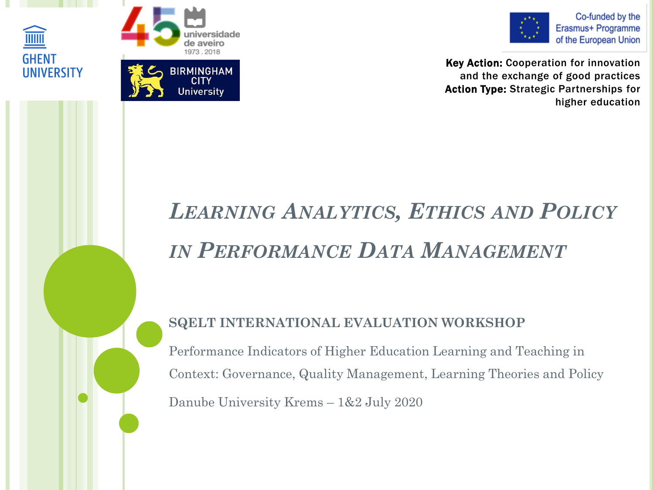





Co-funded by the Erasmus+ Programme of the European Union

Key Action: Cooperation for innovation and the exchange of good practices Action Type: Strategic Partnerships for higher education

# *LEARNING ANALYTICS, ETHICS AND POLICY IN PERFORMANCE DATA MANAGEMENT*

#### **SQELT INTERNATIONAL EVALUATION WORKSHOP**

Performance Indicators of Higher Education Learning and Teaching in Context: Governance, Quality Management, Learning Theories and Policy Danube University Krems – 1&2 July 2020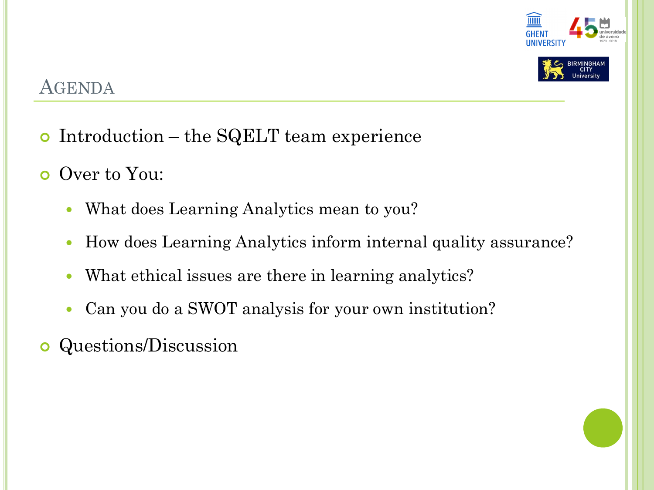



### AGENDA

- Introduction the SQELT team experience
- o Over to You:
	- What does Learning Analytics mean to you?
	- How does Learning Analytics inform internal quality assurance?
	- What ethical issues are there in learning analytics?
	- Can you do a SWOT analysis for your own institution?
- **o** Questions/Discussion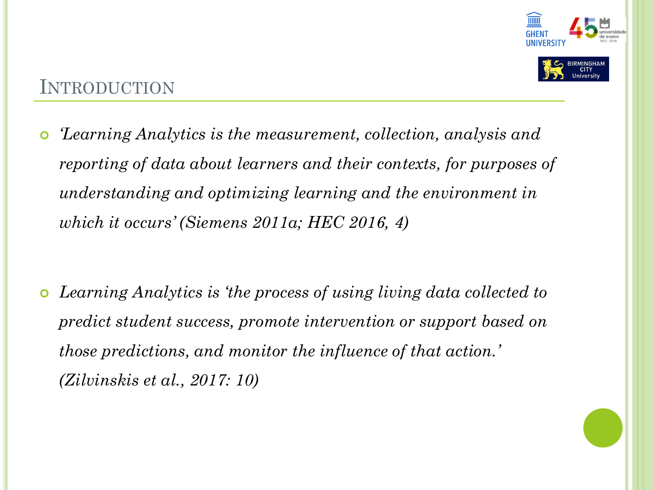

### INTRODUCTION

 *'Learning Analytics is the measurement, collection, analysis and reporting of data about learners and their contexts, for purposes of understanding and optimizing learning and the environment in which it occurs' (Siemens 2011a; HEC 2016, 4)*

 *Learning Analytics is 'the process of using living data collected to predict student success, promote intervention or support based on those predictions, and monitor the influence of that action.' (Zilvinskis et al., 2017: 10)*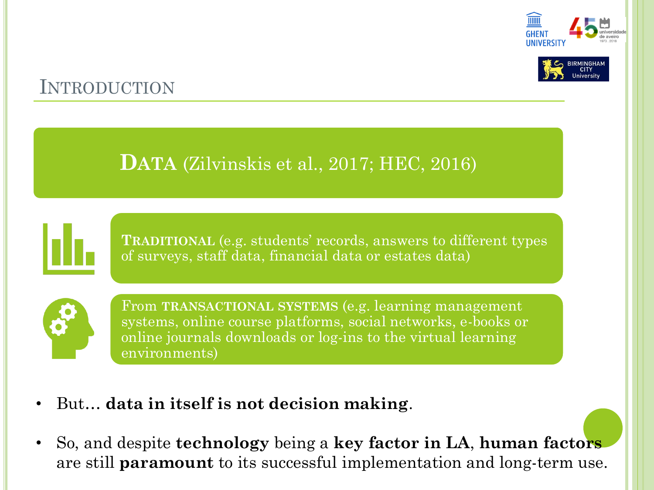



## INTRODUCTION

## **DATA** (Zilvinskis et al., 2017; HEC, 2016)



**TRADITIONAL** (e.g. students' records, answers to different types of surveys, staff data, financial data or estates data)



From **TRANSACTIONAL SYSTEMS** (e.g. learning management systems, online course platforms, social networks, e-books or online journals downloads or log-ins to the virtual learning environments)

- But… **data in itself is not decision making**.
- So, and despite **technology** being a **key factor in LA**, **human factors** are still **paramount** to its successful implementation and long-term use.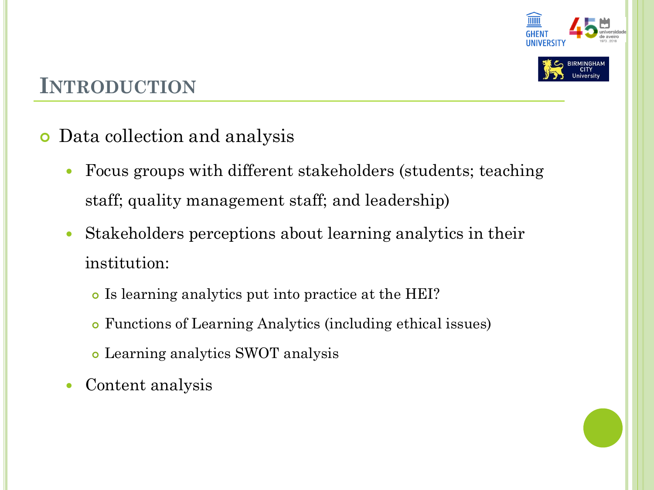



# **INTRODUCTION**

- Data collection and analysis
	- Focus groups with different stakeholders (students; teaching staff; quality management staff; and leadership)
	- Stakeholders perceptions about learning analytics in their institution:
		- Is learning analytics put into practice at the HEI?
		- Functions of Learning Analytics (including ethical issues)
		- Learning analytics SWOT analysis
	- Content analysis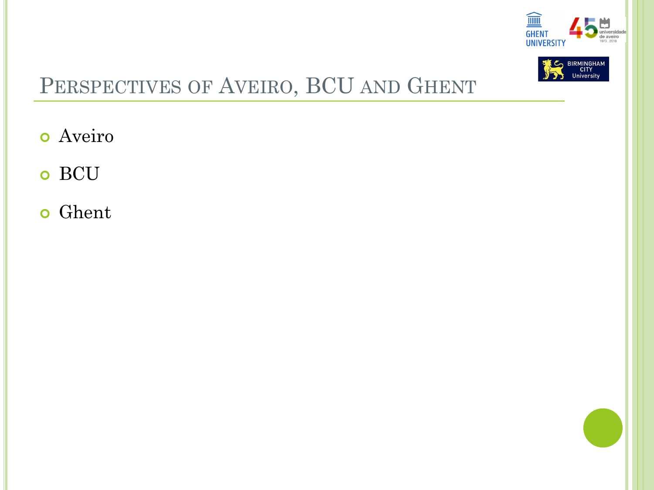



# PERSPECTIVES OF AVEIRO, BCU AND GHENT

- o Aveiro
- o BCU
- **o** Ghent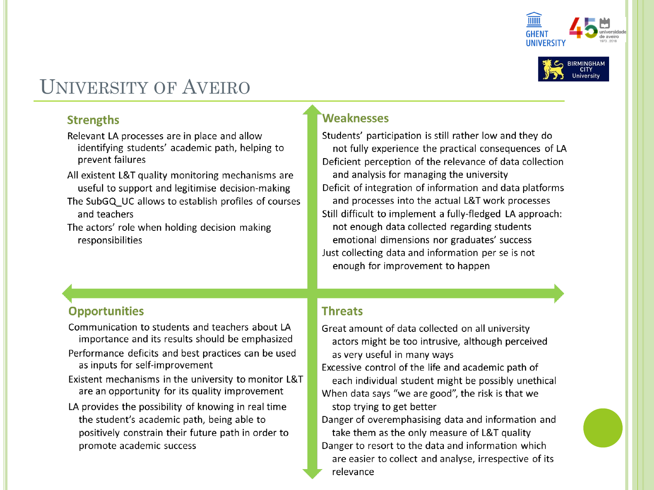



## **UNIVERSITY OF AVEIRO**

#### **Strengths**

- Relevant LA processes are in place and allow identifying students' academic path, helping to prevent failures
- All existent L&T quality monitoring mechanisms are useful to support and legitimise decision-making
- The SubGQ UC allows to establish profiles of courses and teachers
- The actors' role when holding decision making responsibilities

#### **Weaknesses**

Students' participation is still rather low and they do not fully experience the practical consequences of LA Deficient perception of the relevance of data collection and analysis for managing the university Deficit of integration of information and data platforms and processes into the actual L&T work processes Still difficult to implement a fully-fledged LA approach: not enough data collected regarding students emotional dimensions nor graduates' success Just collecting data and information per se is not enough for improvement to happen

#### **Opportunities**

Communication to students and teachers about LA importance and its results should be emphasized

- Performance deficits and best practices can be used as inputs for self-improvement
- Existent mechanisms in the university to monitor L&T are an opportunity for its quality improvement
- LA provides the possibility of knowing in real time the student's academic path, being able to positively constrain their future path in order to promote academic success

#### **Threats**

- Great amount of data collected on all university actors might be too intrusive, although perceived as very useful in many ways
- Excessive control of the life and academic path of each individual student might be possibly unethical When data says "we are good", the risk is that we stop trying to get better
- Danger of overemphasising data and information and take them as the only measure of L&T quality Danger to resort to the data and information which are easier to collect and analyse, irrespective of its relevance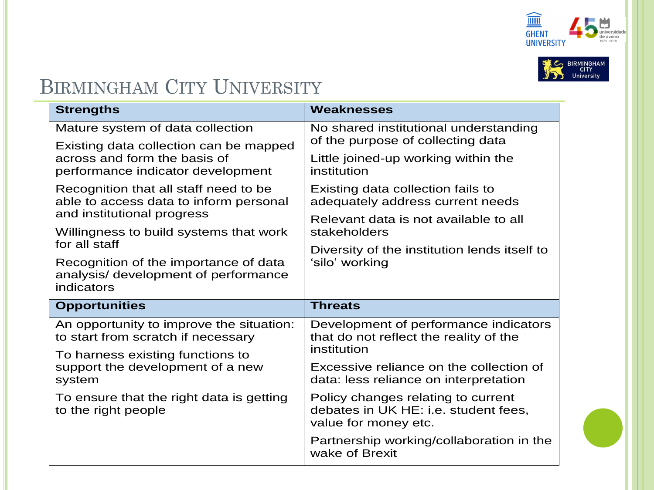



## BIRMINGHAM CITY UNIVERSITY

| <b>Strengths</b>                                                                                            | <b>Weaknesses</b>                                                                                  |
|-------------------------------------------------------------------------------------------------------------|----------------------------------------------------------------------------------------------------|
| Mature system of data collection                                                                            | No shared institutional understanding<br>of the purpose of collecting data                         |
| Existing data collection can be mapped<br>across and form the basis of<br>performance indicator development | Little joined-up working within the<br>institution                                                 |
| Recognition that all staff need to be<br>able to access data to inform personal                             | Existing data collection fails to<br>adequately address current needs                              |
| and institutional progress<br>Willingness to build systems that work                                        | Relevant data is not available to all<br>stakeholders                                              |
| for all staff                                                                                               | Diversity of the institution lends itself to                                                       |
| Recognition of the importance of data<br>analysis/ development of performance<br>indicators                 | 'silo' working                                                                                     |
| <b>Opportunities</b>                                                                                        | <b>Threats</b>                                                                                     |
| An opportunity to improve the situation:<br>to start from scratch if necessary                              | Development of performance indicators<br>that do not reflect the reality of the                    |
| To harness existing functions to                                                                            | institution                                                                                        |
| support the development of a new<br>system                                                                  | Excessive reliance on the collection of<br>data: less reliance on interpretation                   |
| To ensure that the right data is getting<br>to the right people                                             | Policy changes relating to current<br>debates in UK HE: i.e. student fees,<br>value for money etc. |
|                                                                                                             | Partnership working/collaboration in the<br>wake of Brexit                                         |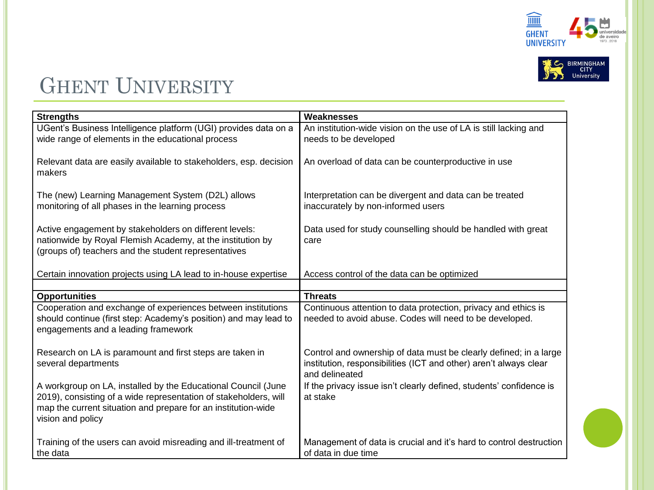



# GHENT UNIVERSITY

| <b>Strengths</b>                                                                                                                  | Weaknesses                                                                          |
|-----------------------------------------------------------------------------------------------------------------------------------|-------------------------------------------------------------------------------------|
| UGent's Business Intelligence platform (UGI) provides data on a                                                                   | An institution-wide vision on the use of LA is still lacking and                    |
| wide range of elements in the educational process                                                                                 | needs to be developed                                                               |
|                                                                                                                                   |                                                                                     |
| Relevant data are easily available to stakeholders, esp. decision                                                                 | An overload of data can be counterproductive in use                                 |
| makers                                                                                                                            |                                                                                     |
|                                                                                                                                   |                                                                                     |
| The (new) Learning Management System (D2L) allows                                                                                 | Interpretation can be divergent and data can be treated                             |
| monitoring of all phases in the learning process                                                                                  | inaccurately by non-informed users                                                  |
|                                                                                                                                   |                                                                                     |
| Active engagement by stakeholders on different levels:                                                                            | Data used for study counselling should be handled with great                        |
| nationwide by Royal Flemish Academy, at the institution by                                                                        | care                                                                                |
| (groups of) teachers and the student representatives                                                                              |                                                                                     |
|                                                                                                                                   |                                                                                     |
| Certain innovation projects using LA lead to in-house expertise                                                                   | Access control of the data can be optimized                                         |
| <b>Opportunities</b>                                                                                                              | <b>Threats</b>                                                                      |
|                                                                                                                                   |                                                                                     |
|                                                                                                                                   |                                                                                     |
| Cooperation and exchange of experiences between institutions                                                                      | Continuous attention to data protection, privacy and ethics is                      |
| should continue (first step: Academy's position) and may lead to                                                                  | needed to avoid abuse. Codes will need to be developed.                             |
| engagements and a leading framework                                                                                               |                                                                                     |
|                                                                                                                                   |                                                                                     |
| Research on LA is paramount and first steps are taken in                                                                          | Control and ownership of data must be clearly defined; in a large                   |
| several departments                                                                                                               | institution, responsibilities (ICT and other) aren't always clear<br>and delineated |
|                                                                                                                                   |                                                                                     |
| A workgroup on LA, installed by the Educational Council (June                                                                     | If the privacy issue isn't clearly defined, students' confidence is<br>at stake     |
| 2019), consisting of a wide representation of stakeholders, will<br>map the current situation and prepare for an institution-wide |                                                                                     |
| vision and policy                                                                                                                 |                                                                                     |
|                                                                                                                                   |                                                                                     |
| Training of the users can avoid misreading and ill-treatment of                                                                   | Management of data is crucial and it's hard to control destruction                  |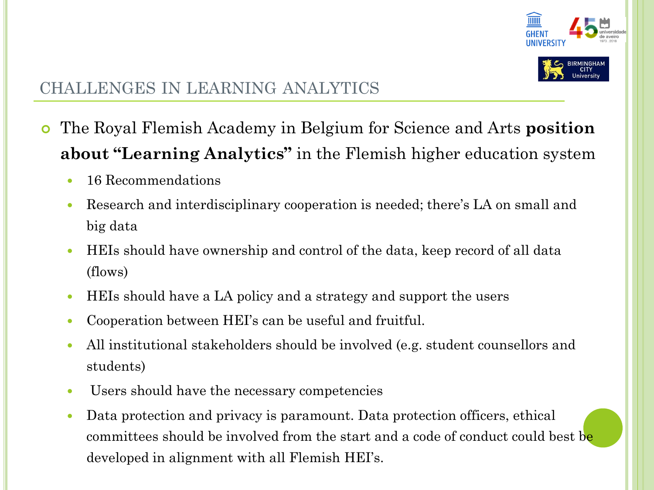



### CHALLENGES IN LEARNING ANALYTICS

- The Royal Flemish Academy in Belgium for Science and Arts **position about "Learning Analytics"** in the Flemish higher education system
	- 16 Recommendations
	- Research and interdisciplinary cooperation is needed; there's LA on small and big data
	- HEIs should have ownership and control of the data, keep record of all data (flows)
	- HEIs should have a LA policy and a strategy and support the users
	- Cooperation between HEI's can be useful and fruitful.
	- All institutional stakeholders should be involved (e.g. student counsellors and students)
	- Users should have the necessary competencies
	- Data protection and privacy is paramount. Data protection officers, ethical committees should be involved from the start and a code of conduct could best be developed in alignment with all Flemish HEI's.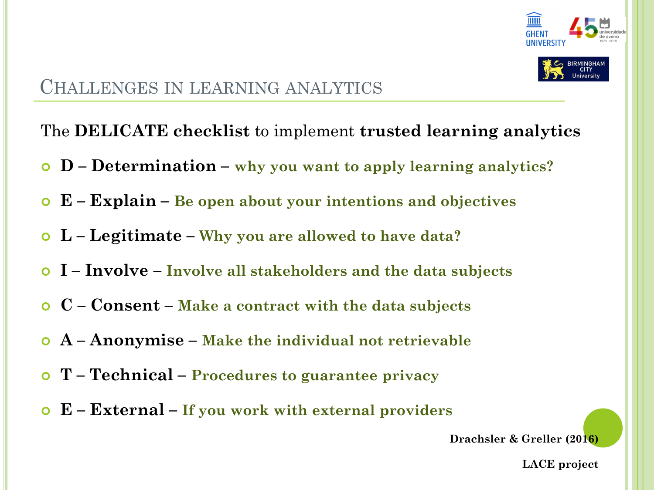



### CHALLENGES IN LEARNING ANALYTICS

The **DELICATE checklist** to implement **trusted learning analytics**

- **D – Determination – why you want to apply learning analytics?**
- **E – Explain – Be open about your intentions and objectives**
- **L – Legitimate – Why you are allowed to have data?**
- **I – Involve – Involve all stakeholders and the data subjects**
- **C – Consent – Make a contract with the data subjects**
- **A – Anonymise – Make the individual not retrievable**
- **T – Technical – Procedures to guarantee privacy**
- **E – External – If you work with external providers**

**Drachsler & Greller (2016)**

**LACE project**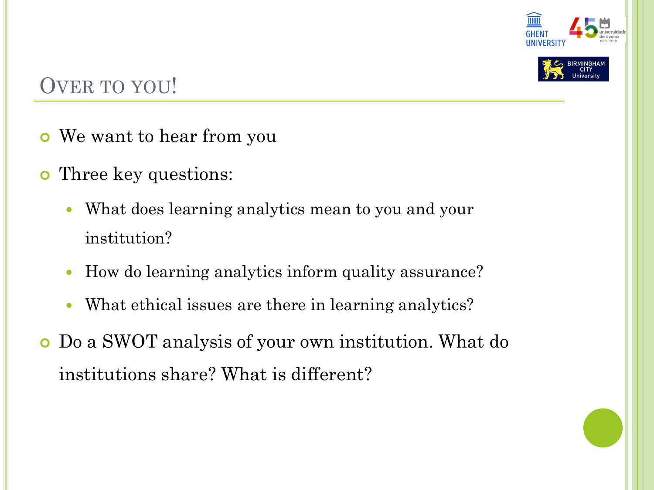



# OVER TO YOU!

- We want to hear from you
- Three key questions:
	- What does learning analytics mean to you and your institution?
	- How do learning analytics inform quality assurance?
	- What ethical issues are there in learning analytics?
- Do a SWOT analysis of your own institution. What do institutions share? What is different?